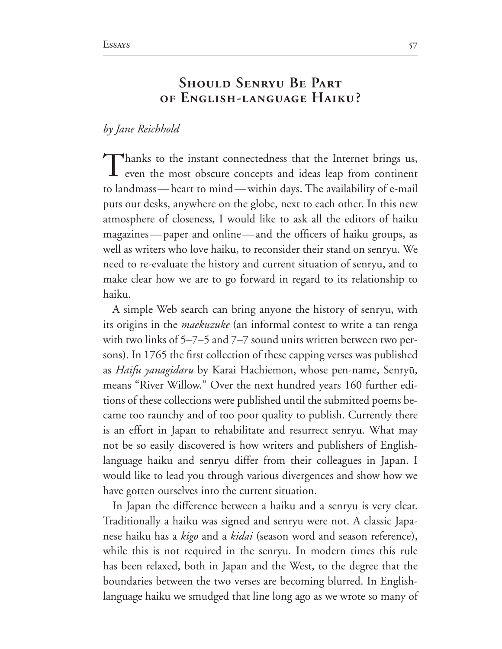## **Should Senryu Be Part of English-language Haiku?**

## *by Jane Reichhold*

Thanks to the instant connectedness that the Internet brings us, **L** even the most obscure concepts and ideas leap from continent to landmass—heart to mind—within days. The availability of e-mail puts our desks, anywhere on the globe, next to each other. In this new atmosphere of closeness, I would like to ask all the editors of haiku magazines—paper and online—and the officers of haiku groups, as well as writers who love haiku, to reconsider their stand on senryu. We need to re-evaluate the history and current situation of senryu, and to make clear how we are to go forward in regard to its relationship to haiku.

A simple Web search can bring anyone the history of senryu, with its origins in the *maekuzuke* (an informal contest to write a tan renga with two links of  $5-7-5$  and  $7-7$  sound units written between two persons). In 1765 the first collection of these capping verses was published as Haifu yanagidaru by Karai Hachiemon, whose pen-name, Senryū, means "River Willow." Over the next hundred years 160 further editions of these collections were published until the submitted poems be came too raunchy and of too poor quality to publish. Currently there is an effort in Japan to rehabilitate and resurrect senryu. What may not be so easily discovered is how writers and publishers of Englishlanguage haiku and senryu differ from their colleagues in Japan. I would like to lead you through various divergences and show how we have gotten ourselves into the current situation.

In Japan the difference between a haiku and a senryu is very clear. Traditionally a haiku was signed and senryu were not. A classic Japa nese haiku has a *kigo* and a *kidai* (season word and season reference), while this is not required in the senryu. In modern times this rule has been relaxed, both in Japan and the West, to the degree that the boundaries between the two verses are becoming blurred. In Englishlanguage haiku we smudged that line long ago as we wrote so many of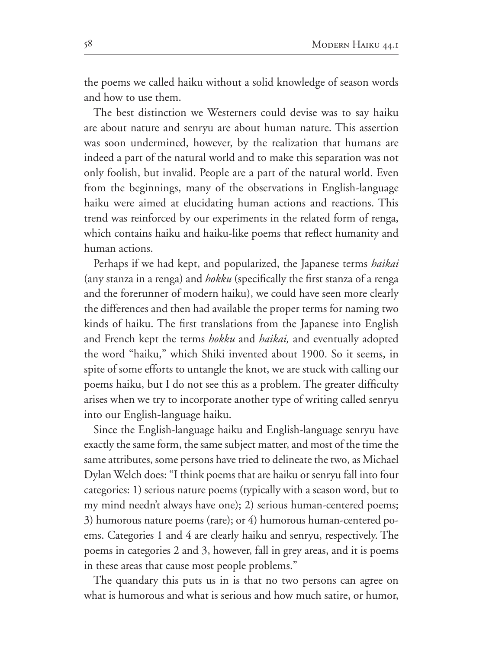the poems we called haiku without a solid knowledge of season words and how to use them.

The best distinction we Westerners could devise was to say haiku are about nature and senryu are about human nature. This assertion was soon undermined, however, by the realization that humans are indeed a part of the natural world and to make this separation was not only foolish, but invalid. People are a part of the natural world. Even from the beginnings, many of the observations in English-language haiku were aimed at elucidating human actions and reactions. This trend was reinforced by our experiments in the related form of renga, which contains haiku and haiku-like poems that reflect humanity and human actions.

Perhaps if we had kept, and popularized, the Japanese terms *haikai* (any stanza in a renga) and *hokku* (specifically the first stanza of a renga and the forerunner of modern haiku), we could have seen more clearly the differences and then had available the proper terms for naming two kinds of haiku. The first translations from the Japanese into English and French kept the terms *hokku* and *haikai,* and eventually adopted the word "haiku," which Shiki invented about 1900. So it seems, in spite of some efforts to untangle the knot, we are stuck with calling our poems haiku, but I do not see this as a problem. The greater difficulty arises when we try to incorporate another type of writing called senryu into our English-language haiku.

Since the English-language haiku and English-language senryu have exactly the same form, the same subject matter, and most of the time the same attributes, some persons have tried to delineate the two, as Michael Dylan Welch does: "I think poems that are haiku or senryu fall into four categories: 1) serious nature poems (typically with a season word, but to my mind needn't always have one); 2) serious human-centered poems; 3) humorous nature poems (rare); or  $4$ ) humorous human-centered poems. Categories 1 and 4 are clearly haiku and senryu, respectively. The poems in categories 2 and 3, however, fall in grey areas, and it is poems in these areas that cause most people problems."

The quandary this puts us in is that no two persons can agree on what is humorous and what is serious and how much satire, or humor,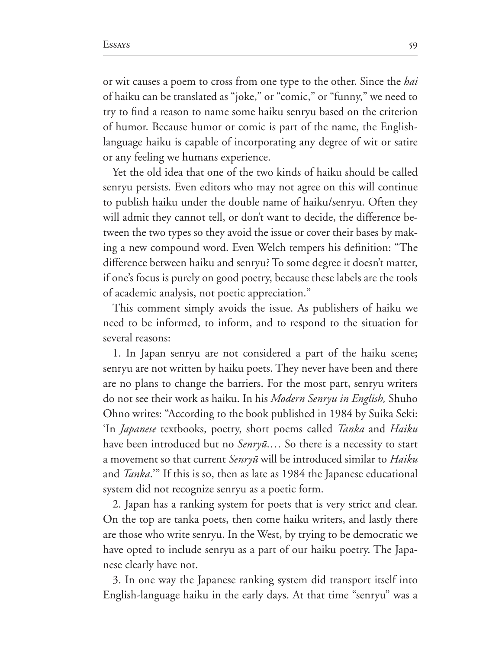or wit causes a poem to cross from one type to the other. Since the *hai* of haiku can be translated as "joke," or "comic," or "funny," we need to try to find a reason to name some haiku senryu based on the criterion of humor. Because humor or comic is part of the name, the Englishlanguage haiku is capable of incorporating any degree of wit or satire or any feeling we humans experience.

Yet the old idea that one of the two kinds of haiku should be called senryu persists. Even editors who may not agree on this will continue to publish haiku under the double name of haiku/senryu. Often they will admit they cannot tell, or don't want to decide, the difference be tween the two types so they avoid the issue or cover their bases by mak ing a new compound word. Even Welch tempers his definition: "The difference between haiku and senryu? To some degree it doesn't matter, if one's focus is purely on good poetry, because these labels are the tools of academic analysis, not poetic appreciation."

This comment simply avoids the issue. As publishers of haiku we need to be informed, to inform, and to respond to the situation for several reasons:

1. In Japan senryu are not considered a part of the haiku scene; senryu are not written by haiku poets. They never have been and there are no plans to change the barriers. For the most part, senryu writers do not see their work as haiku. In his *Modern Senryu in English*, Shuho Ohno writes: "According to the book published in 1984 by Suika Seki: 'In *Japanese* textbooks, poetry, short poems called *Tanka* and *Haiku* have been introduced but no *Senryū*.... So there is a necessity to start a movement so that current *Senry*û will be introduced similar to *Haiku* and *Tanka*." If this is so, then as late as 1984 the Japanese educational system did not recognize senryu as a poetic form.

2. Japan has a ranking system for poets that is very strict and clear. On the top are tanka poets, then come haiku writers, and lastly there are those who write senryu. In the West, by trying to be democratic we have opted to include senryu as a part of our haiku poetry. The Japa nese clearly have not.

3. In one way the Japanese ranking system did transport itself into English-language haiku in the early days. At that time "senryu" was a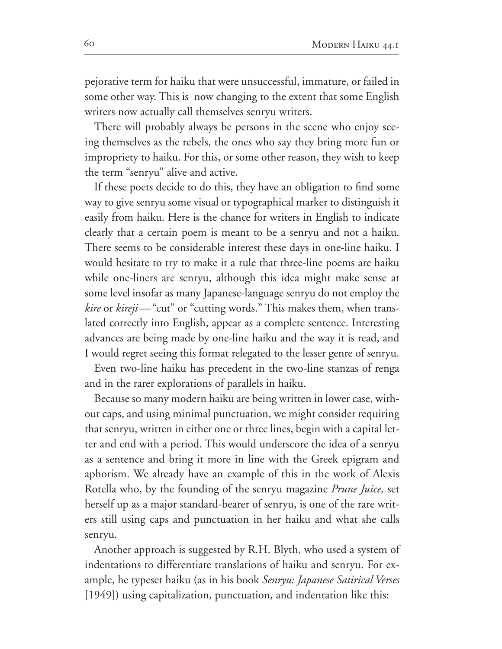pejorative term for haiku that were unsuccessful, immature, or failed in some other way. This is now changing to the extent that some English writers now actually call themselves senryu writers.

There will probably always be persons in the scene who enjoy see ing themselves as the rebels, the ones who say they bring more fun or impropriety to haiku. For this, or some other reason, they wish to keep the term "senryu" alive and active.

If these poets decide to do this, they have an obligation to find some way to give senryu some visual or typographical marker to distinguish it easily from haiku. Here is the chance for writers in English to indicate clearly that a certain poem is meant to be a senryu and not a haiku. There seems to be considerable interest these days in one-line haiku. I would hesitate to try to make it a rule that three-line poems are haiku while one-liners are senryu, although this idea might make sense at some level insofar as many Japanese-language senryu do not employ the *kire* or *kireji*—"cut" or "cutting words." This makes them, when translated correctly into English, appear as a complete sentence. Interesting advances are being made by one-line haiku and the way it is read, and I would regret seeing this format relegated to the lesser genre of senryu.

Even two-line haiku has precedent in the two-line stanzas of renga and in the rarer explorations of parallels in haiku.

Because so many modern haiku are being written in lower case, with out caps, and using minimal punctuation, we might consider requiring that senryu, written in either one or three lines, begin with a capital let ter and end with a period. This would underscore the idea of a senryu as a sentence and bring it more in line with the Greek epigram and aphorism. We already have an example of this in the work of Alexis Rotella who, by the founding of the senryu magazine *Prune Juice,* set herself up as a major standard-bearer of senryu, is one of the rare writers still using caps and punctuation in her haiku and what she calls senryu.

Another approach is suggested by R.H. Blyth, who used a system of indentations to differentiate translations of haiku and senryu. For ex ample, he typeset haiku (as in his book *Senryu: Japanese Satirical Verses* [1949]) using capitalization, punctuation, and indentation like this: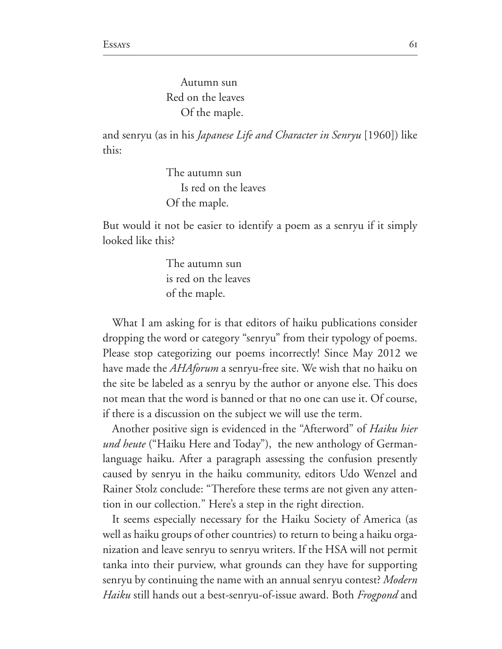Autumn sun Red on the leaves Of the maple.

and senryu (as in his *Japanese Life and Character in Senryu* [1960]) like this:

> The autumn sun Is red on the leaves Of the maple.

But would it not be easier to identify a poem as a senryu if it simply looked like this?

> The autumn sun is red on the leaves of the maple.

What I am asking for is that editors of haiku publications consider dropping the word or category "senryu" from their typology of poems. Please stop categorizing our poems incorrectly! Since May 2012 we have made the *AHAforum* a senryu-free site. We wish that no haiku on the site be labeled as a senryu by the author or anyone else. This does not mean that the word is banned or that no one can use it. Of course, if there is a discussion on the subject we will use the term.

Another positive sign is evidenced in the "Afterword" of *Haiku hier* und heute ("Haiku Here and Today"), the new anthology of Germanlanguage haiku. After a paragraph assessing the confusion presently caused by senryu in the haiku community, editors Udo Wenzel and Rainer Stolz conclude: "Therefore these terms are not given any attention in our collection." Here's a step in the right direction.

It seems especially necessary for the Haiku Society of America (as well as haiku groups of other countries) to return to being a haiku orga nization and leave senryu to senryu writers. If the HSA will not permit tanka into their purview, what grounds can they have for supporting senryu by continuing the name with an annual senryu contest? Modern *Haiku* still hands out a best-senryu-of-issue award. Both *Frogpond* and